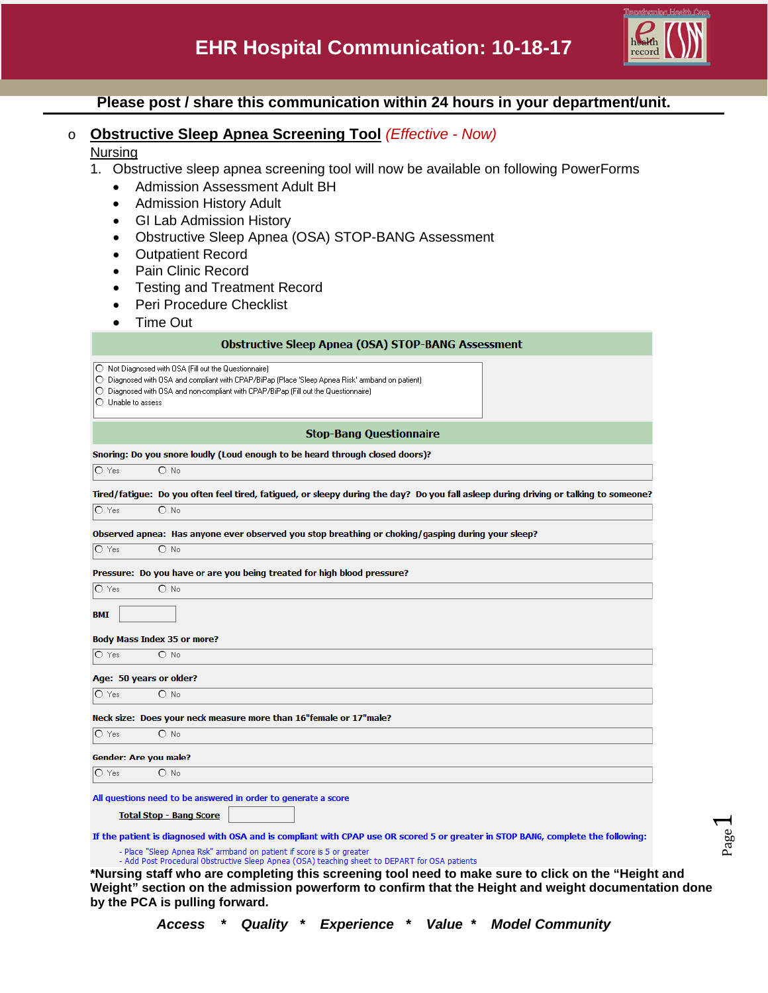

Page  $\overline{\phantom{0}}$ 

# **Please post / share this communication within 24 hours in your department/unit.**

## o **Obstructive Sleep Apnea Screening Tool** *(Effective - Now)*

#### **Nursing**

- 1. Obstructive sleep apnea screening tool will now be available on following PowerForms
	- Admission Assessment Adult BH
	- Admission History Adult
	- GI Lab Admission History
	- Obstructive Sleep Apnea (OSA) STOP-BANG Assessment
	- Outpatient Record
	- Pain Clinic Record
	- Testing and Treatment Record
	- Peri Procedure Checklist
	- Time Out

| <b>Obstructive Sleep Apnea (OSA) STOP-BANG Assessment</b>                                                                                                               |                                                                                                                                                                                                                                                           |  |  |  |  |
|-------------------------------------------------------------------------------------------------------------------------------------------------------------------------|-----------------------------------------------------------------------------------------------------------------------------------------------------------------------------------------------------------------------------------------------------------|--|--|--|--|
| $\bigcap$ Unable to assess                                                                                                                                              | ◯ Not Diagnosed with OSA (Fill out the Questionnaire)<br>O Diagnosed with OSA and compliant with CPAP/BiPap (Place 'Sleep Apnea Risk' armband on patient)<br>$\bigcirc$ Diagnosed with OSA and non-compliant with CPAP/BiPap (Fill out the Questionnaire) |  |  |  |  |
| <b>Stop-Bang Questionnaire</b>                                                                                                                                          |                                                                                                                                                                                                                                                           |  |  |  |  |
| Snoring: Do you snore loudly (Loud enough to be heard through closed doors)?                                                                                            |                                                                                                                                                                                                                                                           |  |  |  |  |
| O Yes                                                                                                                                                                   | $O$ No                                                                                                                                                                                                                                                    |  |  |  |  |
|                                                                                                                                                                         | Tired/fatigue: Do you often feel tired, fatigued, or sleepy during the day? Do you fall asleep during driving or talking to someone?                                                                                                                      |  |  |  |  |
| O Yes                                                                                                                                                                   | $O$ No                                                                                                                                                                                                                                                    |  |  |  |  |
|                                                                                                                                                                         | Observed apnea: Has anyone ever observed you stop breathing or choking/gasping during your sleep?                                                                                                                                                         |  |  |  |  |
| $\bigcirc$ Yes                                                                                                                                                          | $O$ No                                                                                                                                                                                                                                                    |  |  |  |  |
|                                                                                                                                                                         | Pressure: Do you have or are you being treated for high blood pressure?                                                                                                                                                                                   |  |  |  |  |
| $\bigcirc$ Yes                                                                                                                                                          | $O$ No                                                                                                                                                                                                                                                    |  |  |  |  |
| <b>BMI</b>                                                                                                                                                              |                                                                                                                                                                                                                                                           |  |  |  |  |
|                                                                                                                                                                         | <b>Body Mass Index 35 or more?</b>                                                                                                                                                                                                                        |  |  |  |  |
| O Yes                                                                                                                                                                   | $O$ No                                                                                                                                                                                                                                                    |  |  |  |  |
|                                                                                                                                                                         | Age: 50 years or older?                                                                                                                                                                                                                                   |  |  |  |  |
| $O$ Yes                                                                                                                                                                 | $O$ No                                                                                                                                                                                                                                                    |  |  |  |  |
|                                                                                                                                                                         | Neck size: Does your neck measure more than 16"female or 17"male?                                                                                                                                                                                         |  |  |  |  |
| $\bigcirc$ Yes                                                                                                                                                          | $O$ No                                                                                                                                                                                                                                                    |  |  |  |  |
|                                                                                                                                                                         | Gender: Are you male?                                                                                                                                                                                                                                     |  |  |  |  |
| $O$ Yes                                                                                                                                                                 | $\bigcirc$ No                                                                                                                                                                                                                                             |  |  |  |  |
|                                                                                                                                                                         |                                                                                                                                                                                                                                                           |  |  |  |  |
| All questions need to be answered in order to generate a score                                                                                                          |                                                                                                                                                                                                                                                           |  |  |  |  |
| <b>Total Stop - Bang Score</b>                                                                                                                                          |                                                                                                                                                                                                                                                           |  |  |  |  |
| If the patient is diagnosed with OSA and is compliant with CPAP use OR scored 5 or greater in STOP BANG, complete the following:                                        |                                                                                                                                                                                                                                                           |  |  |  |  |
| - Place "Sleep Apnea Risk" armband on patient if score is 5 or greater<br>- Add Post Procedural Obstructive Sleep Apnea (OSA) teaching sheet to DEPART for OSA patients |                                                                                                                                                                                                                                                           |  |  |  |  |

**\*Nursing staff who are completing this screening tool need to make sure to click on the "Height and Weight" section on the admission powerform to confirm that the Height and weight documentation done by the PCA is pulling forward.**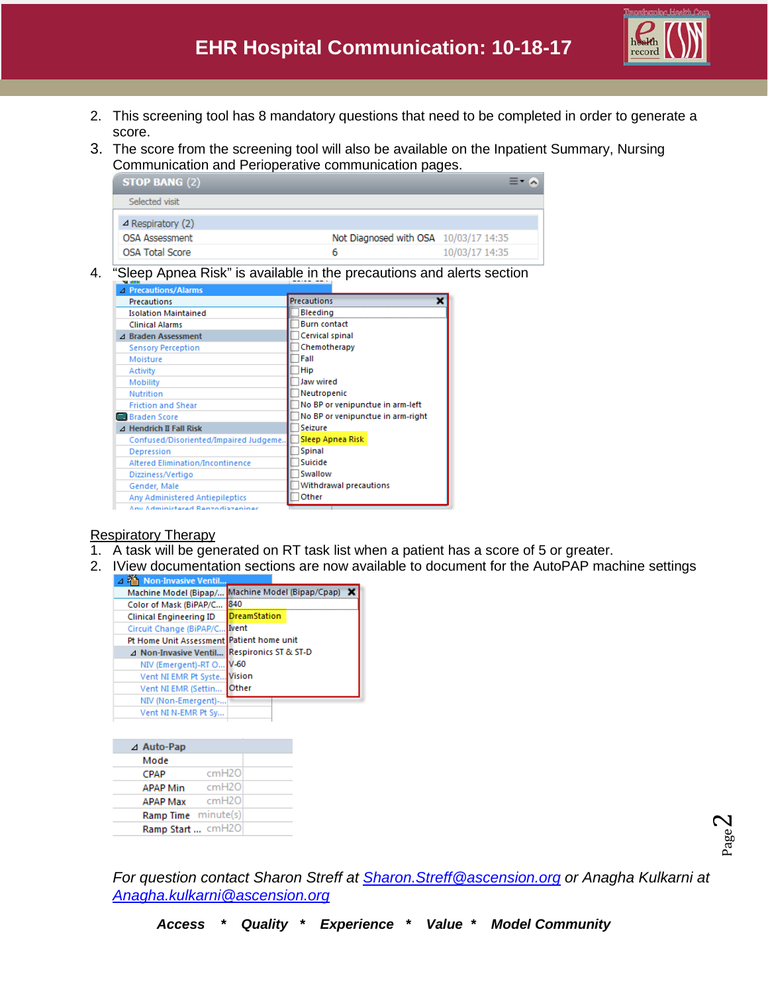

- 2. This screening tool has 8 mandatory questions that need to be completed in order to generate a score.
- 3. The score from the screening tool will also be available on the Inpatient Summary, Nursing Communication and Perioperative communication pages.

| <b>STOP BANG (2)</b>        |                                       |                |
|-----------------------------|---------------------------------------|----------------|
| Selected visit              |                                       |                |
| $\triangle$ Respiratory (2) |                                       |                |
| <b>OSA Assessment</b>       | Not Diagnosed with OSA 10/03/17 14:35 |                |
| <b>OSA Total Score</b>      | 6                                     | 10/03/17 14:35 |

4. "Sleep Apnea Risk" is available in the precautions and alerts section

| △ Precautions/Alarms                    |                                   |
|-----------------------------------------|-----------------------------------|
| Precautions                             | <b>Precautions</b>                |
| <b>Isolation Maintained</b>             | Bleeding                          |
| <b>Clinical Alarms</b>                  | <b>Burn contact</b>               |
| ⊿ Braden Assessment                     | Cervical spinal                   |
| <b>Sensory Perception</b>               | Chemotherapy                      |
| Moisture                                | Fall                              |
| Activity                                | <b>Hip</b>                        |
| Mobility                                | Jaw wired                         |
| <b>Nutrition</b>                        | Neutropenic                       |
| <b>Friction and Shear</b>               | No BP or venipunctue in arm-left  |
| <b>BRI</b> Braden Score                 | No BP or venipunctue in arm-right |
| $\Delta$ Hendrich II Fall Risk          | Seizure                           |
| Confused/Disoriented/Impaired Judgeme.  | Sleep Apnea Risk                  |
| Depression                              | <b>Spinal</b>                     |
| <b>Altered Elimination/Incontinence</b> | Suicide                           |
| Dizziness/Vertigo                       | Swallow                           |
| Gender, Male                            | Withdrawal precautions            |
| Any Administered Antiepileptics         | Other                             |
| Any Administered Renzodiazenines        |                                   |

## Respiratory Therapy

- 1. A task will be generated on RT task list when a patient has a score of 5 or greater.
- 2. IView documentation sections are now available to document for the AutoPAP machine settings

| <sup>2</sup> Non-Invasive Ventil          |                            |
|-------------------------------------------|----------------------------|
| Machine Model (Bipap/                     | Machine Model (Bipap/Cpap) |
| Color of Mask (BiPAP/C                    | 840                        |
| <b>Clinical Engineering ID</b>            | <b>DreamStation</b>        |
| Circuit Change (BiPAP/C Ivent             |                            |
| Pt Home Unit Assessment Patient home unit |                            |
| ⊿ Non-Invasive Ventil                     | Respironics ST & ST-D      |
| NIV (Emergent)-RT O                       | $V-60$                     |
| Vent NI EMR Pt Syste Vision               |                            |
| Vent NI EMR (Settin                       | lOther                     |
| NIV (Non-Emergent)-                       |                            |
| Vent NI N-EMR Pt Sy                       |                            |
|                                           |                            |

| ⊿ Auto-Pap               |  |
|--------------------------|--|
| Mode                     |  |
| cmH2O<br><b>CPAP</b>     |  |
| cmH2O<br><b>APAP Min</b> |  |
| cmH2O<br>APAP Max        |  |
| Ramp Time minute(s)      |  |
| Ramp Start  cmH2O        |  |
|                          |  |

Page  $\mathrel{\sim}$ 

*For question contact Sharon Streff at [Sharon.Streff@ascension.org](mailto:Sharon.Streff@ascension.org) or Anagha Kulkarni at [Anagha.kulkarni@ascension.org](mailto:Anagha.kulkarni@ascension.org)*